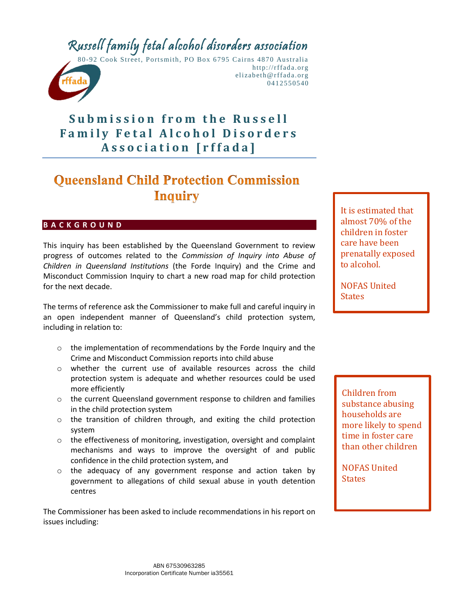# Russell family fetal alcohol disorders association



80-92 Cook Street, Portsmith, PO Box 6795 Cairns 4 870 Australia http://rffada.org elizabeth@rffada.org 0412550540

# **Submission from the Russell Family Fetal Alcohol Disorders A s s o c i a t i o n [ r f f a d a ]**

# **Oueensland Child Protection Commission Inquiry**

# **B A C K G R O U N D**

This inquiry has been established by the Queensland Government to review progress of outcomes related to the *Commission of Inquiry into Abuse of Children in Queensland Institutions* (the Forde Inquiry) and the Crime and Misconduct Commission Inquiry to chart a new road map for child protection for the next decade.

The terms of reference ask the Commissioner to make full and careful inquiry in an open independent manner of Queensland's child protection system, including in relation to:

- o the implementation of recommendations by the Forde Inquiry and the Crime and Misconduct Commission reports into child abuse
- o whether the current use of available resources across the child protection system is adequate and whether resources could be used more efficiently
- o the current Queensland government response to children and families in the child protection system
- o the transition of children through, and exiting the child protection system
- o the effectiveness of monitoring, investigation, oversight and complaint mechanisms and ways to improve the oversight of and public confidence in the child protection system, and
- o the adequacy of any government response and action taken by government to allegations of child sexual abuse in youth detention centres

The Commissioner has been asked to include recommendations in his report on issues including:

It is estimated that almost 70% of the children in foster care have been prenatally exposed to alcohol.

NOFAS United States

Children from substance abusing households are more likely to spend time in foster care than other children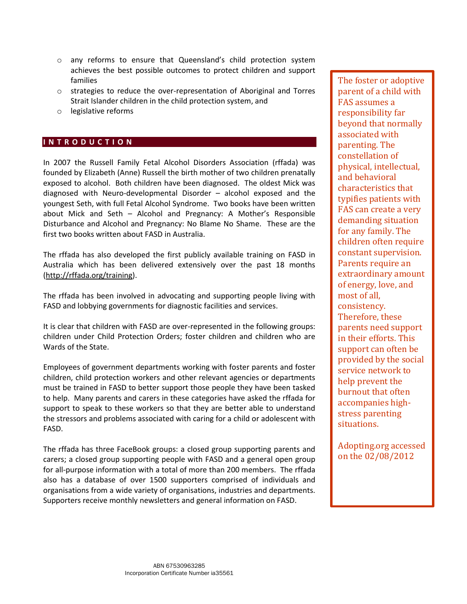- o any reforms to ensure that Queensland's child protection system achieves the best possible outcomes to protect children and support families
- o strategies to reduce the over-representation of Aboriginal and Torres Strait Islander children in the child protection system, and
- o legislative reforms

## **I N T R O D U C T I O N**

In 2007 the Russell Family Fetal Alcohol Disorders Association (rffada) was founded by Elizabeth (Anne) Russell the birth mother of two children prenatally exposed to alcohol. Both children have been diagnosed. The oldest Mick was diagnosed with Neuro-developmental Disorder – alcohol exposed and the youngest Seth, with full Fetal Alcohol Syndrome. Two books have been written about Mick and Seth – Alcohol and Pregnancy: A Mother's Responsible Disturbance and Alcohol and Pregnancy: No Blame No Shame. These are the first two books written about FASD in Australia.

The rffada has also developed the first publicly available training on FASD in Australia which has been delivered extensively over the past 18 months [\(http://rffada.org/training\)](http://rffada.org/training).

The rffada has been involved in advocating and supporting people living with FASD and lobbying governments for diagnostic facilities and services.

It is clear that children with FASD are over-represented in the following groups: children under Child Protection Orders; foster children and children who are Wards of the State.

Employees of government departments working with foster parents and foster children, child protection workers and other relevant agencies or departments must be trained in FASD to better support those people they have been tasked to help. Many parents and carers in these categories have asked the rffada for support to speak to these workers so that they are better able to understand the stressors and problems associated with caring for a child or adolescent with FASD.

The rffada has three FaceBook groups: a closed group supporting parents and carers; a closed group supporting people with FASD and a general open group for all-purpose information with a total of more than 200 members. The rffada also has a database of over 1500 supporters comprised of individuals and organisations from a wide variety of organisations, industries and departments. Supporters receive monthly newsletters and general information on FASD.

The foster or adoptive parent of a child with FAS assumes a responsibility far beyond that normally associated with parenting. The constellation of physical, intellectual, and behavioral characteristics that typifies patients with FAS can create a very demanding situation for any family. The children often require constant supervision. Parents require an extraordinary amount of energy, love, and most of all, consistency. Therefore, these parents need support in their efforts. This support can often be provided by the social service network to help prevent the burnout that often accompanies highstress parenting situations.

Adopting.org accessed on the 02/08/2012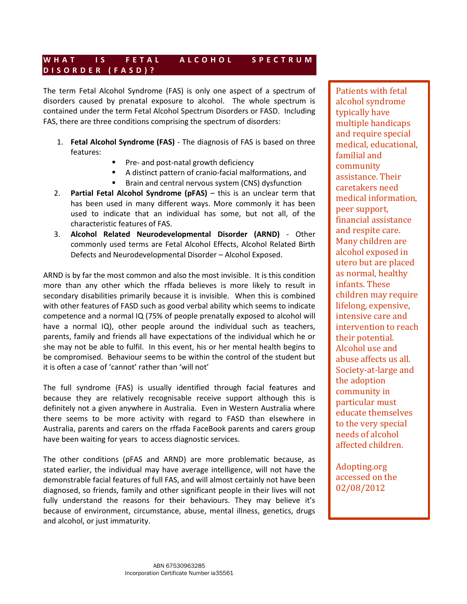# W H A T I S F E T A L A L C O H O L S P E C T R U M **D I S O R D E R ( F A S D ) ?**

The term Fetal Alcohol Syndrome (FAS) is only one aspect of a spectrum of disorders caused by prenatal exposure to alcohol. The whole spectrum is contained under the term Fetal Alcohol Spectrum Disorders or FASD. Including FAS, there are three conditions comprising the spectrum of disorders:

- 1. **Fetal Alcohol Syndrome (FAS)** The diagnosis of FAS is based on three features:
	- Pre- and post-natal growth deficiency
	- A distinct pattern of cranio-facial malformations, and
	- **Brain and central nervous system (CNS) dysfunction**
- 2. **Partial Fetal Alcohol Syndrome (pFAS)** this is an unclear term that has been used in many different ways. More commonly it has been used to indicate that an individual has some, but not all, of the characteristic features of FAS.
- 3. **Alcohol Related Neurodevelopmental Disorder (ARND)** Other commonly used terms are Fetal Alcohol Effects, Alcohol Related Birth Defects and Neurodevelopmental Disorder – Alcohol Exposed.

ARND is by far the most common and also the most invisible. It is this condition more than any other which the rffada believes is more likely to result in secondary disabilities primarily because it is invisible. When this is combined with other features of FASD such as good verbal ability which seems to indicate competence and a normal IQ (75% of people prenatally exposed to alcohol will have a normal IQ), other people around the individual such as teachers, parents, family and friends all have expectations of the individual which he or she may not be able to fulfil. In this event, his or her mental health begins to be compromised. Behaviour seems to be within the control of the student but it is often a case of 'cannot' rather than 'will not'

The full syndrome (FAS) is usually identified through facial features and because they are relatively recognisable receive support although this is definitely not a given anywhere in Australia. Even in Western Australia where there seems to be more activity with regard to FASD than elsewhere in Australia, parents and carers on the rffada FaceBook parents and carers group have been waiting for years to access diagnostic services.

The other conditions (pFAS and ARND) are more problematic because, as stated earlier, the individual may have average intelligence, will not have the demonstrable facial features of full FAS, and will almost certainly not have been diagnosed, so friends, family and other significant people in their lives will not fully understand the reasons for their behaviours. They may believe it's because of environment, circumstance, abuse, mental illness, genetics, drugs and alcohol, or just immaturity.

Patients with fetal alcohol syndrome typically have multiple handicaps and require special medical, educational, familial and community assistance. Their caretakers need medical information, peer support, financial assistance and respite care. Many children are alcohol exposed in utero but are placed as normal, healthy infants. These children may require lifelong, expensive, intensive care and intervention to reach their potential. Alcohol use and abuse affects us all. Society-at-large and the adoption community in particular must educate themselves to the very special needs of alcohol affected children.

Adopting.org accessed on the 02/08/2012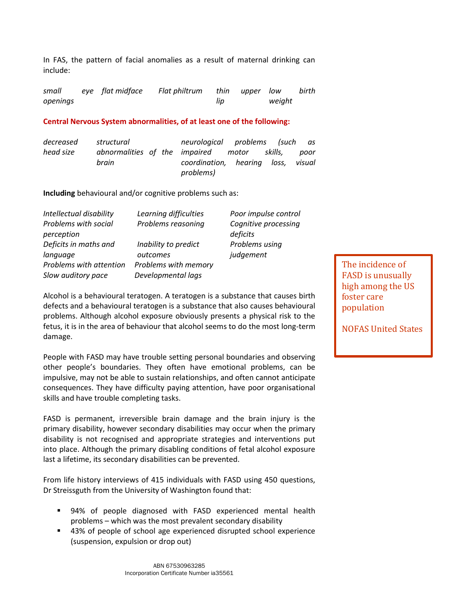In FAS, the pattern of facial anomalies as a result of maternal drinking can include:

*small eye openings Flat philtrum thin upper low lip low birth weight*

## **Central Nervous System abnormalities, of at least one of the following:**

*decreased head size structural abnormalities of the impaired motor skills, poor brain neurological problems (such as coordination, hearing loss, visual problems)*

**Including** behavioural and/or cognitive problems such as:

| Intellectual disability<br>Problems with social<br>perception | Learning difficulties<br>Problems reasoning | Poor impulse control<br>Cognitive processing<br>deficits |
|---------------------------------------------------------------|---------------------------------------------|----------------------------------------------------------|
| Deficits in maths and<br>language                             | Inability to predict<br>outcomes            | Problems using<br>judgement                              |
| Problems with attention<br>Slow auditory pace                 | Problems with memory<br>Developmental lags  |                                                          |

Alcohol is a behavioural teratogen. A teratogen is a substance that causes birth defects and a behavioural teratogen is a substance that also causes behavioural problems. Although alcohol exposure obviously presents a physical risk to the fetus, it is in the area of behaviour that alcohol seems to do the most long-term damage.

People with FASD may have trouble setting personal boundaries and observing other people's boundaries. They often have emotional problems, can be impulsive, may not be able to sustain relationships, and often cannot anticipate consequences. They have difficulty paying attention, have poor organisational skills and have trouble completing tasks.

FASD is permanent, irreversible brain damage and the brain injury is the primary disability, however secondary disabilities may occur when the primary disability is not recognised and appropriate strategies and interventions put into place. Although the primary disabling conditions of fetal alcohol exposure last a lifetime, its secondary disabilities can be prevented.

From life history interviews of 415 individuals with FASD using 450 questions, Dr Streissguth from the University of Washington found that:

- 94% of people diagnosed with FASD experienced mental health problems – which was the most prevalent secondary disability
- 43% of people of school age experienced disrupted school experience (suspension, expulsion or drop out)

The incidence of FASD is unusually high among the US foster care population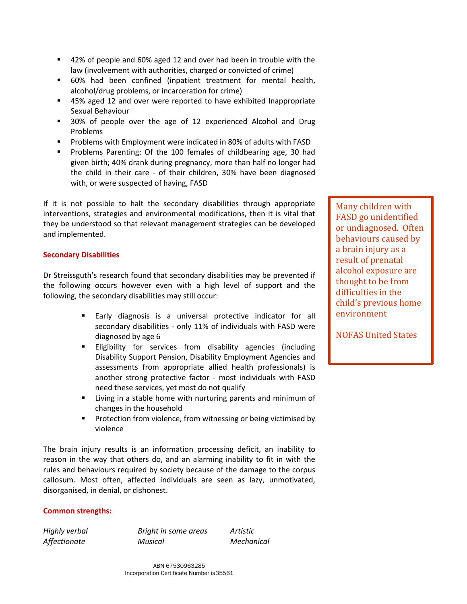- 42% of people and 60% aged 12 and over had been in trouble with the law (involvement with authorities, charged or convicted of crime)
- 60% had been confined (inpatient treatment for mental health, alcohol/drug problems, or incarceration for crime)
- 45% aged 12 and over were reported to have exhibited Inappropriate Sexual Behaviour
- **30%** of people over the age of 12 experienced Alcohol and Drug Problems
- **Problems with Employment were indicated in 80% of adults with FASD**
- **Problems Parenting: Of the 100 females of childbearing age, 30 had** given birth; 40% drank during pregnancy, more than half no longer had the child in their care - of their children, 30% have been diagnosed with, or were suspected of having, FASD

If it is not possible to halt the secondary disabilities through appropriate interventions, strategies and environmental modifications, then it is vital that they be understood so that relevant management strategies can be developed and implemented.

# **Secondary Disabilities**

Dr Streissguth's research found that secondary disabilities may be prevented if the following occurs however even with a high level of support and the following, the secondary disabilities may still occur:

- Early diagnosis is a universal protective indicator for all secondary disabilities - only 11% of individuals with FASD were diagnosed by age 6
- **Eligibility for services from disability agencies (including** Disability Support Pension, Disability Employment Agencies and assessments from appropriate allied health professionals) is another strong protective factor - most individuals with FASD need these services, yet most do not qualify
- **EXTE:** Living in a stable home with nurturing parents and minimum of changes in the household
- **Protection from violence, from witnessing or being victimised by** violence

The brain injury results is an information processing deficit, an inability to reason in the way that others do, and an alarming inability to fit in with the rules and behaviours required by society because of the damage to the corpus callosum. Most often, affected individuals are seen as lazy, unmotivated, disorganised, in denial, or dishonest.

# **Common strengths:**

*Highly verbal Bright in some areas Artistic Affectionate Musical Mechanical*

Many children with FASD go unidentified or undiagnosed. Often behaviours caused by a brain injury as a result of prenatal alcohol exposure are thought to be from difficulties in the child's previous home environment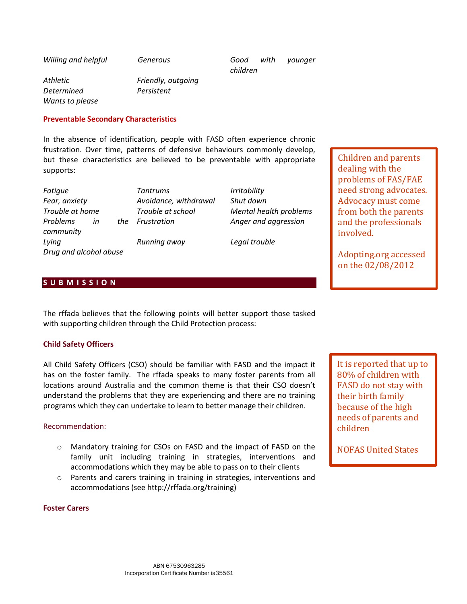*Willing and helpful Generous Good with younger children*

*Athletic Friendly, outgoing Determined Persistent Wants to please*

#### **Preventable Secondary Characteristics**

In the absence of identification, people with FASD often experience chronic frustration. Over time, patterns of defensive behaviours commonly develop, but these characteristics are believed to be preventable with appropriate supports:

*Fatigue Tantrums Irritability Fear, anxiety Avoidance, withdrawal Shut down Trouble at home Trouble at school Mental health problems Problems in the community Lying Running away Legal trouble Drug and alcohol abuse*

*Frustration Anger and aggression*

Children and parents dealing with the problems of FAS/FAE need strong advocates. Advocacy must come from both the parents and the professionals involved.

Adopting.org accessed on the 02/08/2012

# **S U B M I S S I O N**

The rffada believes that the following points will better support those tasked with supporting children through the Child Protection process:

#### **Child Safety Officers**

All Child Safety Officers (CSO) should be familiar with FASD and the impact it has on the foster family. The rffada speaks to many foster parents from all locations around Australia and the common theme is that their CSO doesn't understand the problems that they are experiencing and there are no training programs which they can undertake to learn to better manage their children.

## Recommendation:

- o Mandatory training for CSOs on FASD and the impact of FASD on the family unit including training in strategies, interventions and accommodations which they may be able to pass on to their clients
- o Parents and carers training in training in strategies, interventions and accommodations (see http://rffada.org/training)

#### **Foster Carers**

It is reported that up to 80% of children with FASD do not stay with their birth family because of the high needs of parents and children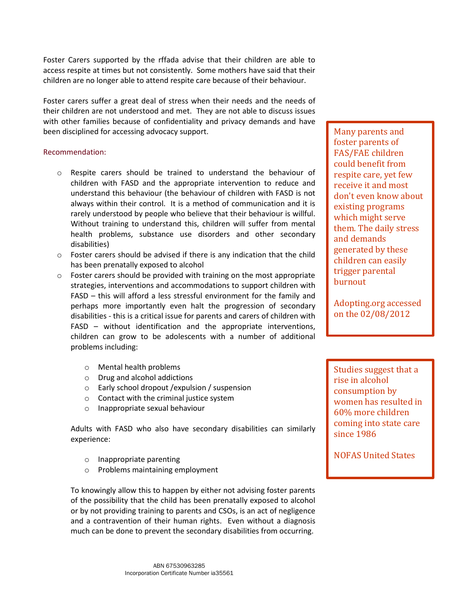Foster Carers supported by the rffada advise that their children are able to access respite at times but not consistently. Some mothers have said that their children are no longer able to attend respite care because of their behaviour.

Foster carers suffer a great deal of stress when their needs and the needs of their children are not understood and met. They are not able to discuss issues with other families because of confidentiality and privacy demands and have been disciplined for accessing advocacy support.

#### Recommendation:

- $\circ$  Respite carers should be trained to understand the behaviour of children with FASD and the appropriate intervention to reduce and understand this behaviour (the behaviour of children with FASD is not always within their control. It is a method of communication and it is rarely understood by people who believe that their behaviour is willful. Without training to understand this, children will suffer from mental health problems, substance use disorders and other secondary disabilities)
- o Foster carers should be advised if there is any indication that the child has been prenatally exposed to alcohol
- $\circ$  Foster carers should be provided with training on the most appropriate strategies, interventions and accommodations to support children with FASD – this will afford a less stressful environment for the family and perhaps more importantly even halt the progression of secondary disabilities - this is a critical issue for parents and carers of children with FASD – without identification and the appropriate interventions, children can grow to be adolescents with a number of additional problems including:
	- o Mental health problems
	- o Drug and alcohol addictions
	- o Early school dropout /expulsion / suspension
	- o Contact with the criminal justice system
	- o Inappropriate sexual behaviour

Adults with FASD who also have secondary disabilities can similarly experience:

- o Inappropriate parenting
- o Problems maintaining employment

To knowingly allow this to happen by either not advising foster parents of the possibility that the child has been prenatally exposed to alcohol or by not providing training to parents and CSOs, is an act of negligence and a contravention of their human rights. Even without a diagnosis much can be done to prevent the secondary disabilities from occurring.

Many parents and foster parents of FAS/FAE children could benefit from respite care, yet few receive it and most don't even know about existing programs which might serve them. The daily stress and demands generated by these children can easily trigger parental burnout

Adopting.org accessed on the 02/08/2012

Studies suggest that a rise in alcohol consumption by women has resulted in 60% more children coming into state care since 1986